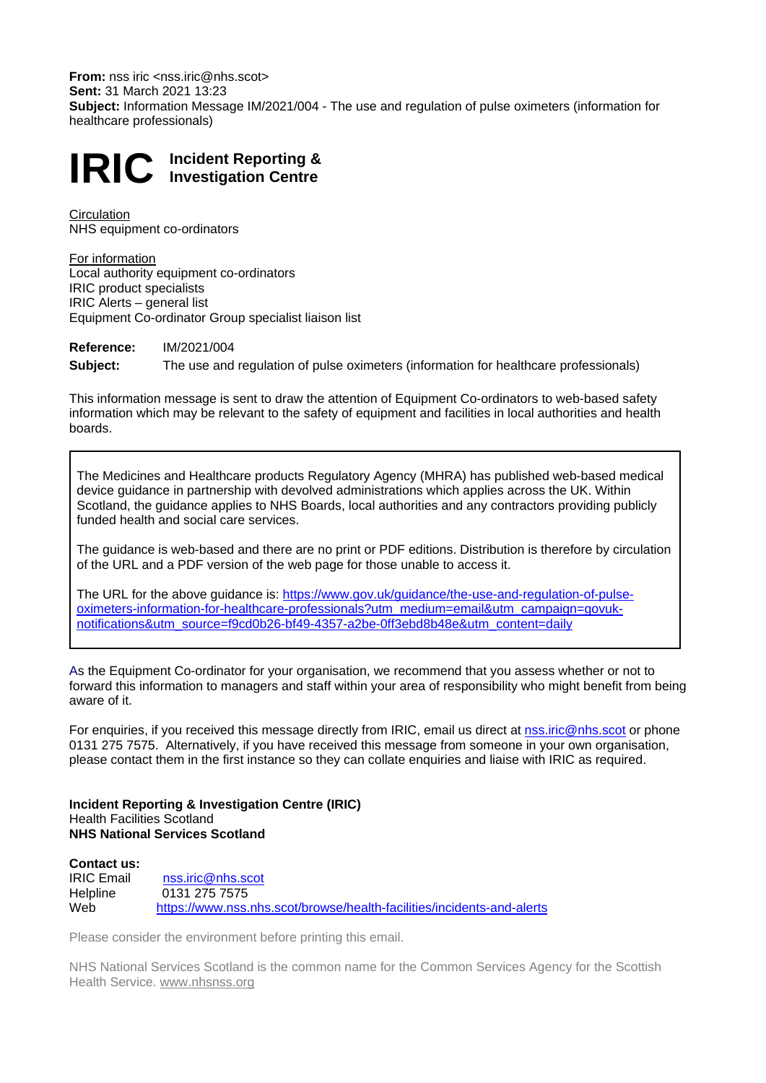**From:** nss iric <nss.iric@nhs.scot> **Sent:** 31 March 2021 13:23 **Subject:** Information Message IM/2021/004 - The use and regulation of pulse oximeters (information for healthcare professionals)

# **IRIC Incident Reporting & Investigation Centre**

**Circulation** NHS equipment co-ordinators

For information Local authority equipment co-ordinators IRIC product specialists IRIC Alerts – general list Equipment Co-ordinator Group specialist liaison list

**Reference:** IM/2021/004 **Subject:** The use and regulation of pulse oximeters (information for healthcare professionals)

This information message is sent to draw the attention of Equipment Co-ordinators to web-based safety information which may be relevant to the safety of equipment and facilities in local authorities and health boards.

The Medicines and Healthcare products Regulatory Agency (MHRA) has published web-based medical device guidance in partnership with devolved administrations which applies across the UK. Within Scotland, the guidance applies to NHS Boards, local authorities and any contractors providing publicly funded health and social care services.

The guidance is web-based and there are no print or PDF editions. Distribution is therefore by circulation of the URL and a PDF version of the web page for those unable to access it.

The URL for the above guidance is: [https://www.gov.uk/guidance/the-use-and-regulation-of-pulse](https://www.gov.uk/guidance/the-use-and-regulation-of-pulse-oximeters-information-for-healthcare-professionals?utm_medium=email&utm_campaign=govuk-notifications&utm_source=f9cd0b26-bf49-4357-a2be-0ff3ebd8b48e&utm_content=daily)[oximeters-information-for-healthcare-professionals?utm\\_medium=email&utm\\_campaign=govuk](https://www.gov.uk/guidance/the-use-and-regulation-of-pulse-oximeters-information-for-healthcare-professionals?utm_medium=email&utm_campaign=govuk-notifications&utm_source=f9cd0b26-bf49-4357-a2be-0ff3ebd8b48e&utm_content=daily)[notifications&utm\\_source=f9cd0b26-bf49-4357-a2be-0ff3ebd8b48e&utm\\_content=daily](https://www.gov.uk/guidance/the-use-and-regulation-of-pulse-oximeters-information-for-healthcare-professionals?utm_medium=email&utm_campaign=govuk-notifications&utm_source=f9cd0b26-bf49-4357-a2be-0ff3ebd8b48e&utm_content=daily)

As the Equipment Co-ordinator for your organisation, we recommend that you assess whether or not to forward this information to managers and staff within your area of responsibility who might benefit from being aware of it.

For enquiries, if you received this message directly from IRIC, email us direct at [nss.iric@nhs.scot](mailto:nss.iric@nhs.scot) or phone 0131 275 7575. Alternatively, if you have received this message from someone in your own organisation, please contact them in the first instance so they can collate enquiries and liaise with IRIC as required.

#### **Incident Reporting & Investigation Centre (IRIC)** Health Facilities Scotland **NHS National Services Scotland**

#### **Contact us:** IRIC Email [nss.iric@nhs.scot](mailto:nss.iric@nhs.scot)<br>Helpline 0131 275 7575 Helpline 0131 275 7575<br>Web https://www.nss. <https://www.nss.nhs.scot/browse/health-facilities/incidents-and-alerts>

Please consider the environment before printing this email.

NHS National Services Scotland is the common name for the Common Services Agency for the Scottish Health Service. [www.nhsnss.org](http://www.nhsnss.org/)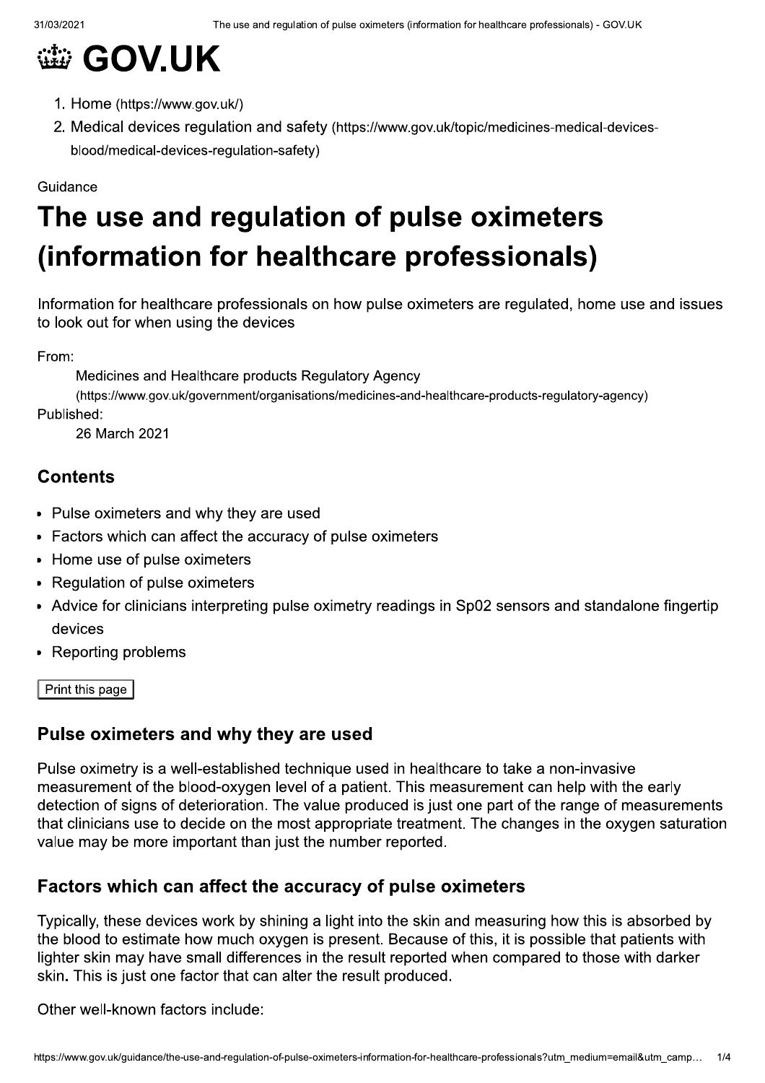## **@ GOV.UK**

- 1. Home (https://www.gov.uk/)
- 2. Medical devices regulation and safety (https://www.gov.uk/topic/medicines-medical-devicesblood/medical-devices-regulation-safety)

#### Guidance

## The use and regulation of pulse oximeters (information for healthcare professionals)

Information for healthcare professionals on how pulse oximeters are regulated, home use and issues to look out for when using the devices

From:

Medicines and Healthcare products Regulatory Agency

(https://www.gov.uk/government/organisations/medicines-and-healthcare-products-regulatory-agency) Published:

26 March 2021

## **Contents**

- Pulse oximeters and why they are used
- Factors which can affect the accuracy of pulse oximeters  $\bullet$
- Home use of pulse oximeters  $\bullet$
- Regulation of pulse oximeters  $\bullet$
- Advice for clinicians interpreting pulse oximetry readings in Sp02 sensors and standalone fingertip devices
- **Reporting problems**

Print this page

## Pulse oximeters and why they are used

Pulse oximetry is a well-established technique used in healthcare to take a non-invasive measurement of the blood-oxygen level of a patient. This measurement can help with the early detection of signs of deterioration. The value produced is just one part of the range of measurements that clinicians use to decide on the most appropriate treatment. The changes in the oxygen saturation value may be more important than just the number reported.

## Factors which can affect the accuracy of pulse oximeters

Typically, these devices work by shining a light into the skin and measuring how this is absorbed by the blood to estimate how much oxygen is present. Because of this, it is possible that patients with lighter skin may have small differences in the result reported when compared to those with darker skin. This is just one factor that can alter the result produced.

Other well-known factors include: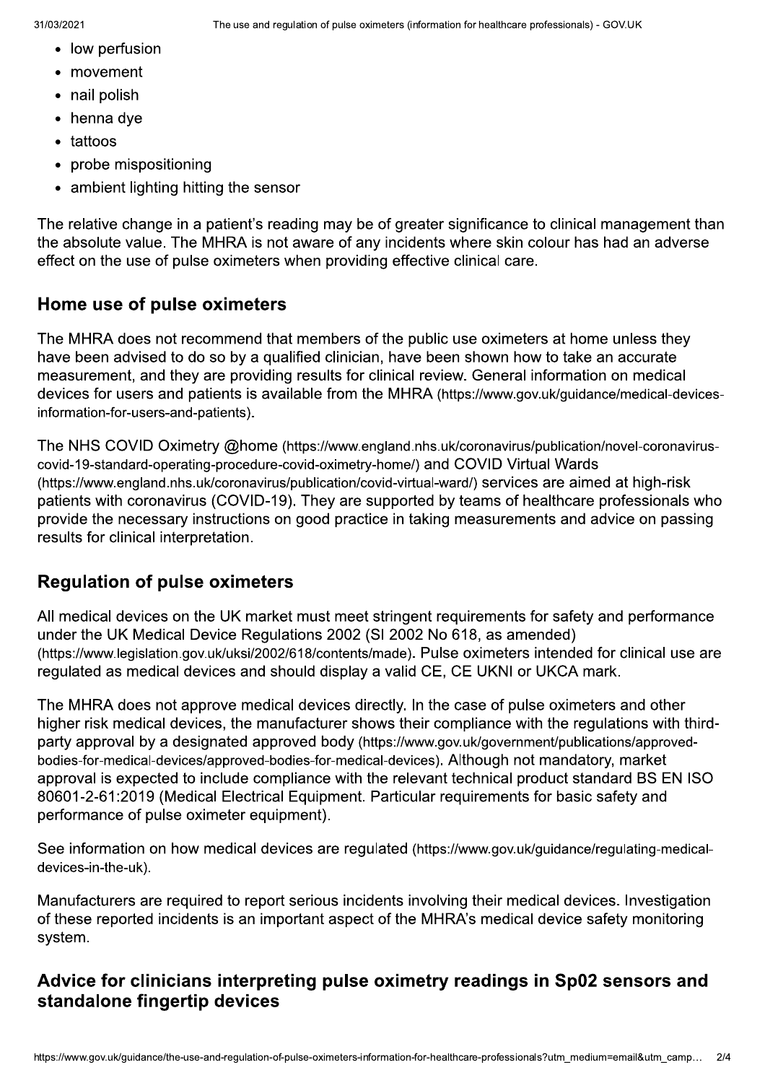- low perfusion
- movement
- nail polish
- henna dye
- tattoos
- probe mispositioning
- ambient lighting hitting the sensor

The relative change in a patient's reading may be of greater significance to clinical management than the absolute value. The MHRA is not aware of any incidents where skin colour has had an adverse effect on the use of pulse oximeters when providing effective clinical care.

#### Home use of pulse oximeters

The MHRA does not recommend that members of the public use oximeters at home unless they have been advised to do so by a qualified clinician, have been shown how to take an accurate measurement, and they are providing results for clinical review. General information on medical devices for users and patients is available from the MHRA (https://www.gov.uk/guidance/medical-devicesinformation-for-users-and-patients).

The NHS COVID Oximetry @home (https://www.england.nhs.uk/coronavirus/publication/novel-coronaviruscovid-19-standard-operating-procedure-covid-oximetry-home/) and COVID Virtual Wards (https://www.england.nhs.uk/coronavirus/publication/covid-virtual-ward/) services are aimed at high-risk patients with coronavirus (COVID-19). They are supported by teams of healthcare professionals who provide the necessary instructions on good practice in taking measurements and advice on passing results for clinical interpretation.

#### **Regulation of pulse oximeters**

All medical devices on the UK market must meet stringent requirements for safety and performance under the UK Medical Device Regulations 2002 (SI 2002 No 618, as amended) (https://www.legislation.gov.uk/uksi/2002/618/contents/made). Pulse oximeters intended for clinical use are regulated as medical devices and should display a valid CE, CE UKNI or UKCA mark.

The MHRA does not approve medical devices directly. In the case of pulse oximeters and other higher risk medical devices, the manufacturer shows their compliance with the regulations with thirdparty approval by a designated approved body (https://www.gov.uk/government/publications/approvedbodies-for-medical-devices/approved-bodies-for-medical-devices). Although not mandatory, market approval is expected to include compliance with the relevant technical product standard BS EN ISO 80601-2-61:2019 (Medical Electrical Equipment, Particular requirements for basic safety and performance of pulse oximeter equipment).

See information on how medical devices are regulated (https://www.gov.uk/guidance/regulating-medicaldevices-in-the-uk).

Manufacturers are required to report serious incidents involving their medical devices. Investigation of these reported incidents is an important aspect of the MHRA's medical device safety monitoring system.

#### Advice for clinicians interpreting pulse oximetry readings in Sp02 sensors and standalone fingertip devices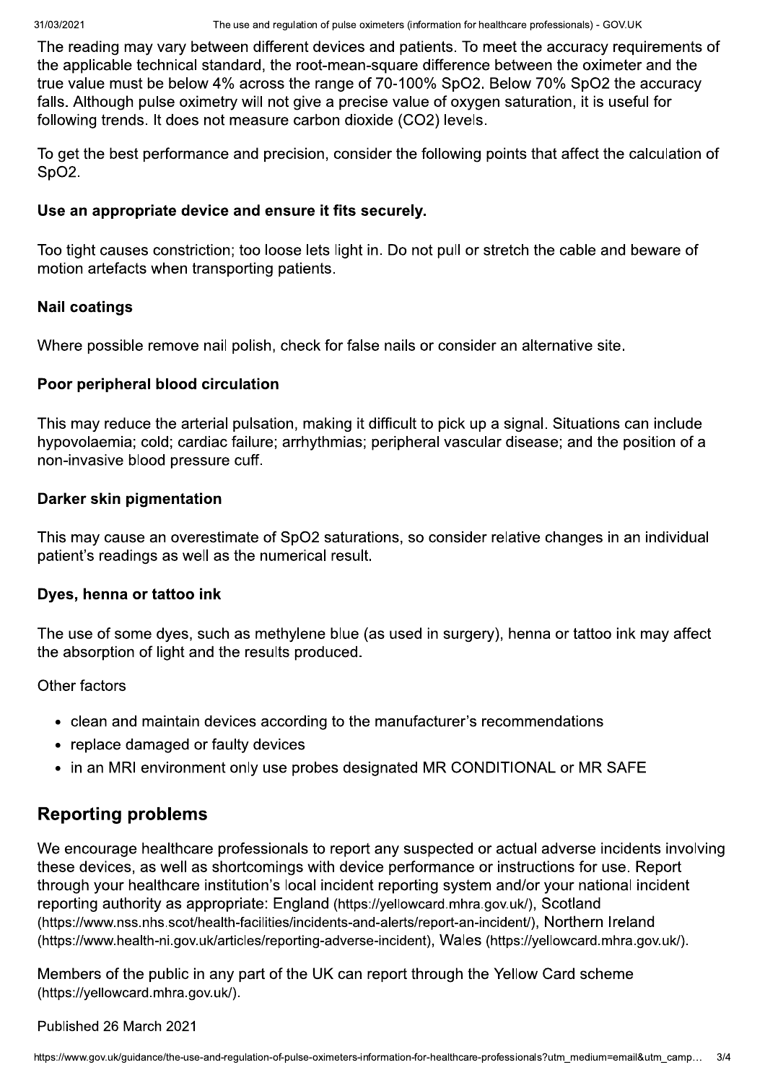The reading may vary between different devices and patients. To meet the accuracy requirements of the applicable technical standard, the root-mean-square difference between the oximeter and the true value must be below 4% across the range of 70-100% SpO2. Below 70% SpO2 the accuracy falls. Although pulse oximetry will not give a precise value of oxygen saturation, it is useful for following trends. It does not measure carbon dioxide (CO2) levels.

To get the best performance and precision, consider the following points that affect the calculation of SpO<sub>2</sub>.

#### Use an appropriate device and ensure it fits securely.

Too tight causes constriction; too loose lets light in. Do not pull or stretch the cable and beware of motion artefacts when transporting patients.

#### **Nail coatings**

Where possible remove nail polish, check for false nails or consider an alternative site.

#### Poor peripheral blood circulation

This may reduce the arterial pulsation, making it difficult to pick up a signal. Situations can include hypovolaemia; cold; cardiac failure; arrhythmias; peripheral vascular disease; and the position of a non-invasive blood pressure cuff.

#### Darker skin pigmentation

This may cause an overestimate of SpO2 saturations, so consider relative changes in an individual patient's readings as well as the numerical result.

#### Dyes, henna or tattoo ink

The use of some dyes, such as methylene blue (as used in surgery), henna or tattoo ink may affect the absorption of light and the results produced.

Other factors

- clean and maintain devices according to the manufacturer's recommendations
- replace damaged or faulty devices
- in an MRI environment only use probes designated MR CONDITIONAL or MR SAFE

## **Reporting problems**

We encourage healthcare professionals to report any suspected or actual adverse incidents involving these devices, as well as shortcomings with device performance or instructions for use. Report through your healthcare institution's local incident reporting system and/or your national incident reporting authority as appropriate: England (https://yellowcard.mhra.gov.uk/), Scotland (https://www.nss.nhs.scot/health-facilities/incidents-and-alerts/report-an-incident/), Northern Ireland (https://www.health-ni.gov.uk/articles/reporting-adverse-incident), Wales (https://yellowcard.mhra.gov.uk/).

Members of the public in any part of the UK can report through the Yellow Card scheme (https://yellowcard.mhra.gov.uk/).

#### Published 26 March 2021